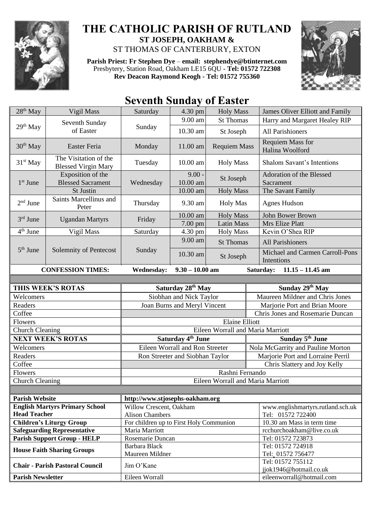

## **THE CATHOLIC PARISH OF RUTLAND ST JOSEPH, OAKHAM &**  ST THOMAS OF CANTERBURY, EXTON

**Parish Priest: Fr Stephen Dye** – **[email: stephendye@btinternet.com](mailto:email:%20%20stephendye@btinternet.com)** Presbytery, Station Road, Oakham LE15 6QU - **Tel: 01572 722308 Rev Deacon Raymond Keogh - Tel: 01572 755360**



## **Seventh Sunday of Easter**

| $28th$ May                                             | Vigil Mass                                          | Saturday                                                                               | 4.30 pm                                              | <b>Holy Mass</b>    | James Oliver Elliott and Family               |
|--------------------------------------------------------|-----------------------------------------------------|----------------------------------------------------------------------------------------|------------------------------------------------------|---------------------|-----------------------------------------------|
| 29 <sup>th</sup> May                                   | Seventh Sunday<br>of Easter                         | Sunday                                                                                 | 9.00 am                                              | <b>St Thomas</b>    | Harry and Margaret Healey RIP                 |
|                                                        |                                                     |                                                                                        | 10.30 am                                             | St Joseph           | All Parishioners                              |
| 30 <sup>th</sup> May                                   | Easter Feria                                        | Monday                                                                                 | 11.00 am                                             | <b>Requiem Mass</b> | <b>Requiem Mass for</b><br>Halina Woolford    |
| 31 <sup>st</sup> May                                   | The Visitation of the<br><b>Blessed Virgin Mary</b> | Tuesday                                                                                | 10.00 am                                             | <b>Holy Mass</b>    | Shalom Savant's Intentions                    |
| $1st$ June                                             | Exposition of the<br><b>Blessed Sacrament</b>       | Wednesday                                                                              | $9.00 -$<br>$10.00$ am                               | St Joseph           | Adoration of the Blessed<br>Sacrament         |
|                                                        | St Justin                                           |                                                                                        | 10.00 am                                             | <b>Holy Mass</b>    | The Savant Family                             |
| $2nd$ June                                             | Saints Marcellinus and<br>Peter                     | Thursday                                                                               | 9.30 am                                              | <b>Holy Mas</b>     | <b>Agnes Hudson</b>                           |
| 3rd June                                               | <b>Ugandan Martyrs</b>                              | Friday                                                                                 | 10.00 am                                             | <b>Holy Mass</b>    | John Bower Brown                              |
|                                                        |                                                     |                                                                                        | 7.00 pm                                              | <b>Latin Mass</b>   | Mrs Elize Platt                               |
| 4 <sup>th</sup> June                                   | Vigil Mass                                          | Saturday                                                                               | 4.30 pm                                              | <b>Holy Mass</b>    | Kevin O'Shea RIP                              |
|                                                        |                                                     |                                                                                        | 9.00 am                                              | <b>St Thomas</b>    | All Parishioners                              |
| $5th$ June                                             | Solemnity of Pentecost                              | Sunday                                                                                 | 10.30 am                                             | St Joseph           | Michael and Carmen Carroll-Pons<br>Intentions |
| <b>CONFESSION TIMES:</b>                               |                                                     | <b>Wednesday:</b>                                                                      | $11.15 - 11.45$ am<br>$9.30 - 10.00$ am<br>Saturday: |                     |                                               |
|                                                        |                                                     |                                                                                        |                                                      |                     |                                               |
| THIS WEEK'S ROTAS                                      |                                                     | Saturday 28th May                                                                      |                                                      |                     | Sunday 29th May                               |
| Welcomers                                              |                                                     | Siobhan and Nick Taylor                                                                |                                                      |                     | Maureen Mildner and Chris Jones               |
| Readers                                                |                                                     | Joan Burns and Meryl Vincent                                                           |                                                      |                     | Marjorie Port and Brian Moore                 |
| Coffee                                                 |                                                     | Chris Jones and Rosemarie Duncan                                                       |                                                      |                     |                                               |
| Flowers                                                |                                                     | <b>Elaine Elliott</b>                                                                  |                                                      |                     |                                               |
| <b>Church Cleaning</b>                                 |                                                     | Eileen Worrall and Maria Marriott                                                      |                                                      |                     |                                               |
| <b>NEXT WEEK'S ROTAS</b>                               |                                                     | Saturday 4 <sup>th</sup> June                                                          |                                                      |                     | Sunday 5 <sup>th</sup> June                   |
| Welcomers                                              |                                                     | Eileen Worrall and Ron Streeter                                                        |                                                      |                     | Nola McGarrity and Pauline Morton             |
| Readers                                                |                                                     | Ron Streeter and Siobhan Taylor                                                        |                                                      |                     | Marjorie Port and Lorraine Perril             |
| Coffee                                                 |                                                     | Chris Slattery and Joy Kelly                                                           |                                                      |                     |                                               |
| Flowers                                                |                                                     | Rashni Fernando                                                                        |                                                      |                     |                                               |
| <b>Church Cleaning</b>                                 |                                                     | Eileen Worrall and Maria Marriott                                                      |                                                      |                     |                                               |
|                                                        |                                                     |                                                                                        |                                                      |                     |                                               |
| <b>Parish Website</b>                                  |                                                     | http://www.stjosephs-oakham.org                                                        |                                                      |                     |                                               |
| <b>English Martyrs Primary School</b>                  |                                                     | Willow Crescent, Oakham                                                                |                                                      |                     | www.englishmartyrs.rutland.sch.uk             |
| <b>Head Teacher</b><br><b>Children's Liturgy Group</b> |                                                     | <b>Alison Chambers</b>                                                                 |                                                      |                     | Tel: 01572 722400                             |
| <b>Safeguarding Representative</b>                     |                                                     | For children up to First Holy Communion<br>rcchurchoakham@live.co.uk<br>Maria Marriott |                                                      |                     | 10.30 am Mass in term time                    |
| <b>Parish Support Group - HELP</b>                     |                                                     | Rosemarie Duncan                                                                       |                                                      |                     | Tel: 01572 723873                             |
| <b>House Faith Sharing Groups</b>                      |                                                     | Barbara Black                                                                          |                                                      |                     | Tel: 01572 724918                             |
|                                                        |                                                     |                                                                                        |                                                      |                     |                                               |
|                                                        |                                                     | Maureen Mildner                                                                        |                                                      |                     |                                               |
|                                                        |                                                     |                                                                                        |                                                      |                     | Tel: 01572 756477<br>Tel: 01572 755112        |
|                                                        | <b>Chair - Parish Pastoral Council</b>              | Jim O'Kane<br>Eileen Worrall                                                           |                                                      |                     | jjok1946@hotmail.co.uk                        |